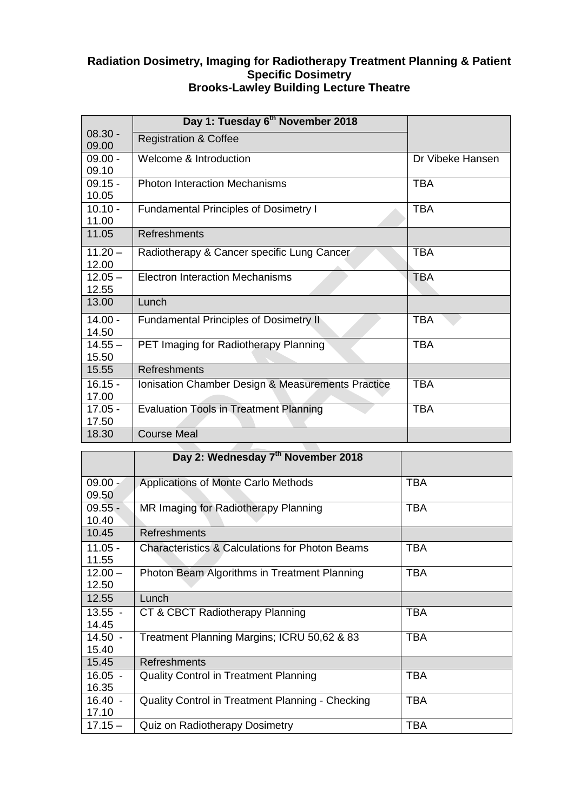## **Radiation Dosimetry, Imaging for Radiotherapy Treatment Planning & Patient Specific Dosimetry Brooks-Lawley Building Lecture Theatre**

|                    | Day 1: Tuesday 6 <sup>th</sup> November 2018      |                  |
|--------------------|---------------------------------------------------|------------------|
| $08.30 -$<br>09.00 | <b>Registration &amp; Coffee</b>                  |                  |
| $09.00 -$<br>09.10 | Welcome & Introduction                            | Dr Vibeke Hansen |
| $09.15 -$<br>10.05 | <b>Photon Interaction Mechanisms</b>              | <b>TBA</b>       |
| $10.10 -$<br>11.00 | <b>Fundamental Principles of Dosimetry I</b>      | <b>TBA</b>       |
| 11.05              | <b>Refreshments</b>                               |                  |
| $11.20 -$<br>12.00 | Radiotherapy & Cancer specific Lung Cancer        | <b>TBA</b>       |
| $12.05 -$<br>12.55 | <b>Electron Interaction Mechanisms</b>            | <b>TBA</b>       |
| 13.00              | Lunch                                             |                  |
| $14.00 -$<br>14.50 | <b>Fundamental Principles of Dosimetry II</b>     | <b>TBA</b>       |
| $14.55 -$<br>15.50 | PET Imaging for Radiotherapy Planning             | <b>TBA</b>       |
| 15.55              | Refreshments                                      |                  |
| $16.15 -$<br>17.00 | Ionisation Chamber Design & Measurements Practice | <b>TBA</b>       |
| $17.05 -$<br>17.50 | <b>Evaluation Tools in Treatment Planning</b>     | <b>TBA</b>       |
| 18.30              | <b>Course Meal</b>                                |                  |

|                    | Day 2: Wednesday 7th November 2018                         |            |
|--------------------|------------------------------------------------------------|------------|
| $09.00 -$<br>09.50 | Applications of Monte Carlo Methods                        | <b>TBA</b> |
| $09.55 -$<br>10.40 | MR Imaging for Radiotherapy Planning                       | <b>TBA</b> |
| 10.45              | Refreshments                                               |            |
| $11.05 -$<br>11.55 | <b>Characteristics &amp; Calculations for Photon Beams</b> | TBA        |
| $12.00 -$<br>12.50 | Photon Beam Algorithms in Treatment Planning               | <b>TBA</b> |
| 12.55              | Lunch                                                      |            |
| $13.55 -$<br>14.45 | CT & CBCT Radiotherapy Planning                            | <b>TBA</b> |
| $14.50 -$<br>15.40 | Treatment Planning Margins; ICRU 50,62 & 83                | <b>TBA</b> |
| 15.45              | Refreshments                                               |            |
| $16.05 -$<br>16.35 | <b>Quality Control in Treatment Planning</b>               | TBA        |
| $16.40 -$<br>17.10 | Quality Control in Treatment Planning - Checking           | <b>TBA</b> |
| $17.15 -$          | Quiz on Radiotherapy Dosimetry                             | <b>TBA</b> |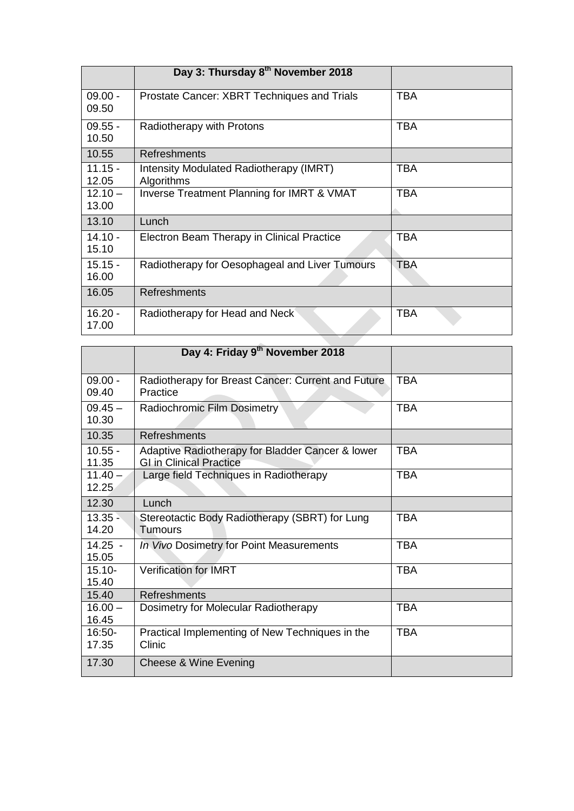|                    | Day 3: Thursday 8th November 2018                     |            |
|--------------------|-------------------------------------------------------|------------|
| $09.00 -$<br>09.50 | Prostate Cancer: XBRT Techniques and Trials           | <b>TBA</b> |
| $09.55 -$<br>10.50 | Radiotherapy with Protons                             | <b>TBA</b> |
| 10.55              | <b>Refreshments</b>                                   |            |
| $11.15 -$<br>12.05 | Intensity Modulated Radiotherapy (IMRT)<br>Algorithms | <b>TBA</b> |
| $12.10 -$<br>13.00 | Inverse Treatment Planning for IMRT & VMAT            | <b>TBA</b> |
| 13.10              | Lunch                                                 |            |
| $14.10 -$<br>15.10 | Electron Beam Therapy in Clinical Practice            | <b>TBA</b> |
| $15.15 -$<br>16.00 | Radiotherapy for Oesophageal and Liver Tumours        | <b>TBA</b> |
| 16.05              | <b>Refreshments</b>                                   |            |
| $16.20 -$<br>17.00 | Radiotherapy for Head and Neck                        | <b>TBA</b> |
|                    | Day 4: Friday 9 <sup>th</sup> November 2018           |            |

|                    | Day 4: Friday 9th November 2018                                                    |            |
|--------------------|------------------------------------------------------------------------------------|------------|
| $09.00 -$<br>09.40 | Radiotherapy for Breast Cancer: Current and Future<br>Practice                     | <b>TBA</b> |
| $09.45 -$<br>10.30 | Radiochromic Film Dosimetry                                                        | <b>TBA</b> |
| 10.35              | Refreshments                                                                       |            |
| $10.55 -$<br>11.35 | Adaptive Radiotherapy for Bladder Cancer & lower<br><b>GI in Clinical Practice</b> | <b>TBA</b> |
| $11.40 -$<br>12.25 | Large field Techniques in Radiotherapy                                             | <b>TBA</b> |
| 12.30              | Lunch                                                                              |            |
| $13.35 -$<br>14.20 | Stereotactic Body Radiotherapy (SBRT) for Lung<br><b>Tumours</b>                   | <b>TBA</b> |
| $14.25 -$<br>15.05 | In Vivo Dosimetry for Point Measurements                                           | <b>TBA</b> |
| $15.10 -$<br>15.40 | <b>Verification for IMRT</b>                                                       | <b>TBA</b> |
| 15.40              | <b>Refreshments</b>                                                                |            |
| $16.00 -$<br>16.45 | Dosimetry for Molecular Radiotherapy                                               | <b>TBA</b> |
| 16:50-<br>17.35    | Practical Implementing of New Techniques in the<br>Clinic                          | <b>TBA</b> |
| 17.30              | Cheese & Wine Evening                                                              |            |